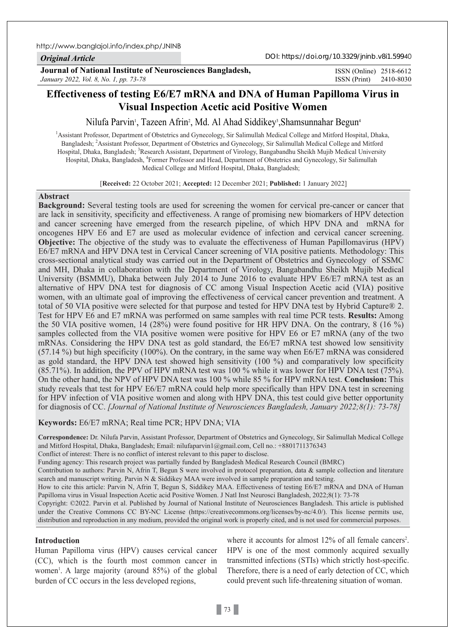#### *Original Article*

DOI: https://doi.org/10.3329/jninb.v8i1.59940

**Journal of National Institute of Neurosciences Bangladesh,** *January 2022, Vol. 8, No. 1, pp. 73-78*

ISSN (Print) 2410-8030 ISSN (Online) 2518-6612

# **Effectiveness of testing E6/E7 mRNA and DNA of Human Papilloma Virus in Visual Inspection Acetic acid Positive Women**

Nilufa Parvin<sup>i</sup>, Tazeen Afrin<sup>2</sup>, Md. Al Ahad Siddikey<sup>3</sup>,Shamsunnahar Begun<sup>4</sup>

<sup>1</sup> Assistant Professor, Department of Obstetrics and Gynecology, Sir Salimullah Medical College and Mitford Hospital, Dhaka, Bangladesh; 2 Assistant Professor, Department of Obstetrics and Gynecology, Sir Salimullah Medical College and Mitford Hospital, Dhaka, Bangladesh; <sup>3</sup>Research Assistant, Department of Virology, Bangabandhu Sheikh Mujib Medical University Hospital, Dhaka, Bangladesh, <sup>4</sup>Former Professor and Head, Department of Obstetrics and Gynecology, Sir Salimullah Medical College and Mitford Hospital, Dhaka, Bangladesh;

[**Received:** 22 October 2021; **Accepted:** 12 December 2021; **Published:** 1 January 2022]

# **Abstract**

**Background:** Several testing tools are used for screening the women for cervical pre-cancer or cancer that are lack in sensitivity, specificity and effectiveness. A range of promising new biomarkers of HPV detection and cancer screening have emerged from the research pipeline, of which HPV DNA and mRNA for oncogenes HPV E6 and E7 are used as molecular evidence of infection and cervical cancer screening. **Objective:** The objective of the study was to evaluate the effectiveness of Human Papillomavirus (HPV) E6/E7 mRNA and HPV DNA test in Cervical Cancer screening of VIA positive patients. Methodology: This cross-sectional analytical study was carried out in the Department of Obstetrics and Gynecology of SSMC and MH, Dhaka in collaboration with the Department of Virology, Bangabandhu Sheikh Mujib Medical University (BSMMU), Dhaka between July 2014 to June 2016 to evaluate HPV E6/E7 mRNA test as an alternative of HPV DNA test for diagnosis of CC among Visual Inspection Acetic acid (VIA) positive women, with an ultimate goal of improving the effectiveness of cervical cancer prevention and treatment. A total of 50 VIA positive were selected for that purpose and tested for HPV DNA test by Hybrid Capture® 2. Test for HPV E6 and E7 mRNA was performed on same samples with real time PCR tests. **Results:** Among the 50 VIA positive women, 14 (28%) were found positive for HR HPV DNA. On the contrary, 8 (16 %) samples collected from the VIA positive women were positive for HPV E6 or E7 mRNA (any of the two mRNAs. Considering the HPV DNA test as gold standard, the E6/E7 mRNA test showed low sensitivity (57.14 %) but high specificity (100%). On the contrary, in the same way when E6/E7 mRNA was considered as gold standard, the HPV DNA test showed high sensitivity (100 %) and comparatively low specificity (85.71%). In addition, the PPV of HPV mRNA test was 100 % while it was lower for HPV DNA test (75%). On the other hand, the NPV of HPV DNA test was 100 % while 85 % for HPV mRNA test. **Conclusion:** This study reveals that test for HPV E6/E7 mRNA could help more specifically than HPV DNA test in screening for HPV infection of VIA positive women and along with HPV DNA, this test could give better opportunity for diagnosis of CC. *[Journal of National Institute of Neurosciences Bangladesh, January 2022;8(1): 73-78]*

# **Keywords:** E6/E7 mRNA; Real time PCR; HPV DNA; VIA

**Correspondence:** Dr. Nilufa Parvin, Assistant Professor, Department of Obstetrics and Gynecology, Sir Salimullah Medical College and Mitford Hospital, Dhaka, Bangladesh; Email: nilufaparvin1@gmail.com, Cell no.: +8801711376343

Conflict of interest: There is no conflict of interest relevant to this paper to disclose.

Funding agency: This research project was partially funded by Bangladesh Medical Research Council (BMRC)

Contribution to authors: Parvin N, Afrin T, Begun S were involved in protocol preparation, data & sample collection and literature search and manuscript writing. Parvin N & Siddikey MAA were involved in sample preparation and testing.

How to cite this article: Parvin N, Afrin T, Begun S, Siddikey MAA. Effectiveness of testing E6/E7 mRNA and DNA of Human Papilloma virus in Visual Inspection Acetic acid Positive Women. J Natl Inst Neurosci Bangladesh, 2022;8(1): 73-78

Copyright: ©2022. Parvin et al. Published by Journal of National Institute of Neurosciences Bangladesh. This article is published under the Creative Commons CC BY-NC License (https://creativecommons.org/licenses/by-nc/4.0/). This license permits use, distribution and reproduction in any medium, provided the original work is properly cited, and is not used for commercial purposes.

## **Introduction**

Human Papilloma virus (HPV) causes cervical cancer (CC), which is the fourth most common cancer in women<sup>1</sup>. A large majority (around 85%) of the global burden of CC occurs in the less developed regions,

where it accounts for almost  $12\%$  of all female cancers<sup>2</sup>. HPV is one of the most commonly acquired sexually transmitted infections (STIs) which strictly host-specific. Therefore, there is a need of early detection of CC, which could prevent such life-threatening situation of woman.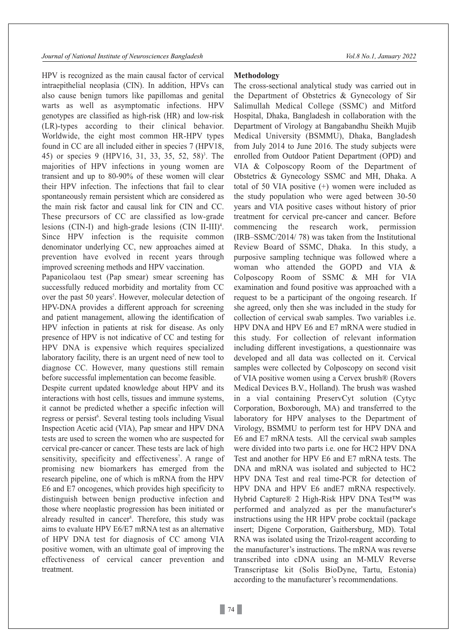HPV is recognized as the main causal factor of cervical intraepithelial neoplasia (CIN). In addition, HPVs can also cause benign tumors like papillomas and genital warts as well as asymptomatic infections. HPV genotypes are classified as high-risk (HR) and low-risk (LR)-types according to their clinical behavior. Worldwide, the eight most common HR-HPV types found in CC are all included either in species 7 (HPV18, 45) or species 9 (HPV16, 31, 33, 35, 52, 58)<sup>3</sup>. The majorities of HPV infections in young women are transient and up to 80-90% of these women will clear their HPV infection. The infections that fail to clear spontaneously remain persistent which are considered as the main risk factor and causal link for CIN and CC. These precursors of CC are classified as low-grade lesions (CIN-I) and high-grade lesions (CIN II-III)<sup>4</sup>. Since HPV infection is the requisite common denominator underlying CC, new approaches aimed at prevention have evolved in recent years through improved screening methods and HPV vaccination.

Papanicolaou test (Pap smear) smear screening has successfully reduced morbidity and mortality from CC over the past 50 years<sup>5</sup>. However, molecular detection of HPV-DNA provides a different approach for screening and patient management, allowing the identification of HPV infection in patients at risk for disease. As only presence of HPV is not indicative of CC and testing for HPV DNA is expensive which requires specialized laboratory facility, there is an urgent need of new tool to diagnose CC. However, many questions still remain before successful implementation can become feasible.

Despite current updated knowledge about HPV and its interactions with host cells, tissues and immune systems, it cannot be predicted whether a specific infection will regress or persist<sup>6</sup>. Several testing tools including Visual Inspection Acetic acid (VIA), Pap smear and HPV DNA tests are used to screen the women who are suspected for cervical pre-cancer or cancer. These tests are lack of high sensitivity, specificity and effectiveness<sup>7</sup>. A range of promising new biomarkers has emerged from the research pipeline, one of which is mRNA from the HPV E6 and E7 oncogenes, which provides high specificity to distinguish between benign productive infection and those where neoplastic progression has been initiated or already resulted in cancer<sup>8</sup>. Therefore, this study was aims to evaluate HPV E6/E7 mRNA test as an alternative of HPV DNA test for diagnosis of CC among VIA positive women, with an ultimate goal of improving the effectiveness of cervical cancer prevention and treatment.

#### **Methodology**

The cross-sectional analytical study was carried out in the Department of Obstetrics & Gynecology of Sir Salimullah Medical College (SSMC) and Mitford Hospital, Dhaka, Bangladesh in collaboration with the Department of Virology at Bangabandhu Sheikh Mujib Medical University (BSMMU), Dhaka, Bangladesh from July 2014 to June 2016. The study subjects were enrolled from Outdoor Patient Department (OPD) and VIA & Colposcopy Room of the Department of Obstetrics & Gynecology SSMC and MH, Dhaka. A total of 50 VIA positive (+) women were included as the study population who were aged between 30-50 years and VIA positive cases without history of prior treatment for cervical pre-cancer and cancer. Before commencing the research work, permission (IRB–SSMC/2014/ 78) was taken from the Institutional Review Board of SSMC, Dhaka. In this study, a purposive sampling technique was followed where a woman who attended the GOPD and VIA & Colposcopy Room of SSMC & MH for VIA examination and found positive was approached with a request to be a participant of the ongoing research. If she agreed, only then she was included in the study for collection of cervical swab samples. Two variables i.e. HPV DNA and HPV E6 and E7 mRNA were studied in this study. For collection of relevant information including different investigations, a questionnaire was developed and all data was collected on it. Cervical samples were collected by Colposcopy on second visit of VIA positive women using a Cervex brush® (Rovers Medical Devices B.V., Holland). The brush was washed in a vial containing PreservCyt solution (Cytyc Corporation, Boxborough, MA) and transferred to the laboratory for HPV analyses to the Department of Virology, BSMMU to perform test for HPV DNA and E6 and E7 mRNA tests. All the cervical swab samples were divided into two parts i.e. one for HC2 HPV DNA Test and another for HPV E6 and E7 mRNA tests. The DNA and mRNA was isolated and subjected to HC2 HPV DNA Test and real time-PCR for detection of HPV DNA and HPV E6 andE7 mRNA respectively. Hybrid Capture® 2 High-Risk HPV DNA Test™ was performed and analyzed as per the manufacturer's instructions using the HR HPV probe cocktail (package insert; Digene Corporation, Gaithersburg, MD). Total RNA was isolated using the Trizol-reagent according to the manufacturer's instructions. The mRNA was reverse transcribed into cDNA using an M-MLV Reverse Transcriptase kit (Solis BioDyne, Tartu, Estonia) according to the manufacturer's recommendations.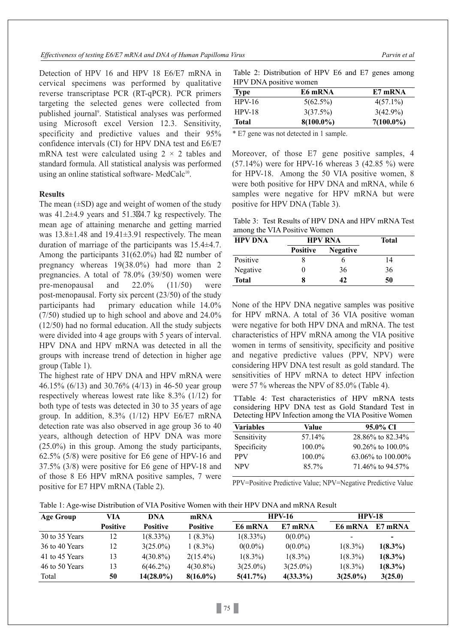Detection of HPV 16 and HPV 18 E6/E7 mRNA in cervical specimens was performed by qualitative reverse transcriptase PCR (RT-qPCR). PCR primers targeting the selected genes were collected from published journal 9 . Statistical analyses was performed using Microsoft excel Version 12.3. Sensitivity, specificity and predictive values and their 95% confidence intervals (CI) for HPV DNA test and E6/E7 mRNA test were calculated using  $2 \times 2$  tables and standard formula. All statistical analysis was performed using an online statistical software- MedCalc $10$ .

## **Results**

The mean  $(\pm SD)$  age and weight of women of the study was 41.2±4.9 years and 51.3 4.7 kg respectively. The mean age of attaining menarche and getting married was 13.8±1.48 and 19.41±3.91 respectively. The mean duration of marriage of the participants was 15.4±4.7. Among the participants 31(62.0%) had 2 number of pregnancy whereas 19(38.0%) had more than 2 pregnancies. A total of 78.0% (39/50) women were pre‑menopausal and 22.0% (11/50) were post-menopausal. Forty six percent (23/50) of the study participants had primary education while 14.0% (7/50) studied up to high school and above and 24.0% (12/50) had no formal education. All the study subjects were divided into 4 age groups with 5 years of interval. HPV DNA and HPV mRNA was detected in all the groups with increase trend of detection in higher age group (Table 1).

The highest rate of HPV DNA and HPV mRNA were 46.15% (6/13) and 30.76% (4/13) in 46-50 year group respectively whereas lowest rate like 8.3% (1/12) for both type of tests was detected in 30 to 35 years of age group. In addition,  $8.3\%$  (1/12) HPV E6/E7 mRNA detection rate was also observed in age group 36 to 40 years, although detection of HPV DNA was more (25.0%) in this group. Among the study participants, 62.5% (5/8) were positive for E6 gene of HPV-16 and 37.5% (3/8) were positive for E6 gene of HPV-18 and of those 8 E6 HPV mRNA positive samples, 7 were positive for E7 HPV mRNA (Table 2).

Table 2: Distribution of HPV E6 and E7 genes among HPV DNA positive women

| Type         | E6 mRNA      | E7 mRNA      |
|--------------|--------------|--------------|
| $HPV-16$     | $5(62.5\%)$  | $4(57.1\%)$  |
| $HPV-18$     | 3(37.5%)     | $3(42.9\%)$  |
| <b>Total</b> | $8(100.0\%)$ | $7(100.0\%)$ |

\* E7 gene was not detected in 1 sample.

Moreover, of those E7 gene positive samples, 4 (57.14%) were for HPV-16 whereas 3 (42.85 %) were for HPV-18. Among the 50 VIA positive women, 8 were both positive for HPV DNA and mRNA, while 6 samples were negative for HPV mRNA but were positive for HPV DNA (Table 3).

Table 3: Test Results of HPV DNA and HPV mRNA Test among the VIA Positive Women

| <b>HPV DNA</b> | <b>HPV RNA</b>  |                 | <b>Total</b> |  |
|----------------|-----------------|-----------------|--------------|--|
|                | <b>Positive</b> | <b>Negative</b> |              |  |
| Positive       |                 |                 | 14           |  |
| Negative       |                 | 36              | 36           |  |
| <b>Total</b>   |                 | 42              | 50           |  |

None of the HPV DNA negative samples was positive for HPV mRNA. A total of 36 VIA positive woman were negative for both HPV DNA and mRNA. The test characteristics of HPV mRNA among the VIA positive women in terms of sensitivity, specificity and positive and negative predictive values (PPV, NPV) were considering HPV DNA test result as gold standard. The sensitivities of HPV mRNA to detect HPV infection were 57 % whereas the NPV of 85.0% (Table 4).

TTable 4: Test characteristics of HPV mRNA tests considering HPV DNA test as Gold Standard Test in Detecting HPV Infection among the VIA Positive Women

| <b>Variables</b> | Value  | 95.0% CI               |
|------------------|--------|------------------------|
| Sensitivity      | 57.14% | 28.86% to 82.34%       |
| Specificity      | 100.0% | $90.26\%$ to $100.0\%$ |
| <b>PPV</b>       | 100.0% | 63.06% to $100.00\%$   |
| <b>NPV</b>       | 85.7%  | 71.46\% to 94.57\%     |
|                  |        |                        |

PPV=Positive Predictive Value; NPV=Negative Predictive Value

Table 1: Age-wise Distribution of VIA Positive Women with their HPV DNA and mRNA Result

| Age Group      | VIA             | DNA             | mRNA            | <b>HPV-16</b> |             | <b>HPV-18</b> |            |
|----------------|-----------------|-----------------|-----------------|---------------|-------------|---------------|------------|
|                | <b>Positive</b> | <b>Positive</b> | <b>Positive</b> | E6 mRNA       | E7 mRNA     | E6 mRNA       | E7 mRNA    |
| 30 to 35 Years | 12              | $1(8.33\%)$     | $1(8.3\%)$      | $1(8.33\%)$   | $0(0.0\%)$  | -             | ۰          |
| 36 to 40 Years | 12              | $3(25.0\%)$     | $1(8.3\%)$      | $0(0.0\%)$    | $0(0.0\%)$  | $1(8.3\%)$    | $1(8.3\%)$ |
| 41 to 45 Years | 13              | $4(30.8\%)$     | $2(15.4\%)$     | $1(8.3\%)$    | $1(8.3\%)$  | $1(8.3\%)$    | $1(8.3\%)$ |
| 46 to 50 Years | 13              | $6(46.2\%)$     | $4(30.8\%)$     | $3(25.0\%)$   | $3(25.0\%)$ | $1(8.3\%)$    | $1(8.3\%)$ |
| Total          | 50              | $14(28.0\%)$    | $8(16.0\%)$     | $5(41.7\%)$   | $4(33.3\%)$ | $3(25.0\%)$   | 3(25.0)    |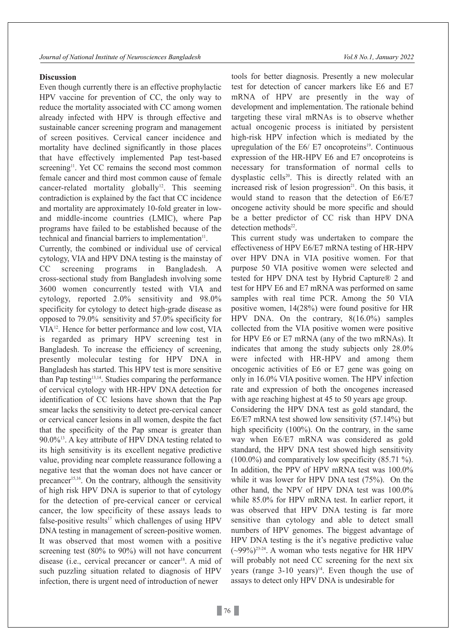#### **Discussion**

Even though currently there is an effective prophylactic HPV vaccine for prevention of CC, the only way to reduce the mortality associated with CC among women already infected with HPV is through effective and sustainable cancer screening program and management of screen positives. Cervical cancer incidence and mortality have declined significantly in those places that have effectively implemented Pap test-based screening<sup>11</sup>. Yet CC remains the second most common female cancer and third most common cause of female cancer-related mortality globally<sup>12</sup>. This seeming contradiction is explained by the fact that CC incidence and mortality are approximately 10-fold greater in lowand middle-income countries (LMIC), where Pap programs have failed to be established because of the technical and financial barriers to implementation $11$ .

Currently, the combined or individual use of cervical cytology, VIA and HPV DNA testing is the mainstay of CC screening programs in Bangladesh. A cross-sectional study from Bangladesh involving some 3600 women concurrently tested with VIA and cytology, reported 2.0% sensitivity and 98.0% specificity for cytology to detect high-grade disease as opposed to 79.0% sensitivity and 57.0% specificity for VIA12. Hence for better performance and low cost, VIA is regarded as primary HPV screening test in Bangladesh. To increase the efficiency of screening, presently molecular testing for HPV DNA in Bangladesh has started. This HPV test is more sensitive than Pap testing<sup>13,14</sup>. Studies comparing the performance of cervical cytology with HR-HPV DNA detection for identification of CC lesions have shown that the Pap smear lacks the sensitivity to detect pre-cervical cancer or cervical cancer lesions in all women, despite the fact that the specificity of the Pap smear is greater than  $90.0\%$ <sup>13</sup>. A key attribute of HPV DNA testing related to its high sensitivity is its excellent negative predictive value, providing near complete reassurance following a negative test that the woman does not have cancer or precancer 15,16. On the contrary, although the sensitivity of high risk HPV DNA is superior to that of cytology for the detection of pre-cervical cancer or cervical cancer, the low specificity of these assays leads to false-positive results<sup>17</sup> which challenges of using HPV DNA testing in management of screen-positive women. It was observed that most women with a positive screening test (80% to 90%) will not have concurrent disease (i.e., cervical precancer or cancer<sup>18</sup>. A mid of such puzzling situation related to diagnosis of HPV infection, there is urgent need of introduction of newer

tools for better diagnosis. Presently a new molecular test for detection of cancer markers like E6 and E7 mRNA of HPV are presently in the way of development and implementation. The rationale behind targeting these viral mRNAs is to observe whether actual oncogenic process is initiated by persistent high-risk HPV infection which is mediated by the upregulation of the  $E6/E7$  oncoproteins<sup>19</sup>. Continuous expression of the HR-HPV E6 and E7 oncoproteins is necessary for transformation of normal cells to dysplastic cells<sup>20</sup>. This is directly related with an increased risk of lesion progression<sup>21</sup>. On this basis, it would stand to reason that the detection of E6/E7 oncogene activity should be more specific and should be a better predictor of CC risk than HPV DNA detection methods<sup>22</sup>.

This current study was undertaken to compare the effectiveness of HPV E6/E7 mRNA testing of HR-HPV over HPV DNA in VIA positive women. For that purpose 50 VIA positive women were selected and tested for HPV DNA test by Hybrid Capture® 2 and test for HPV E6 and E7 mRNA was performed on same samples with real time PCR. Among the 50 VIA positive women, 14(28%) were found positive for HR HPV DNA. On the contrary, 8(16.0%) samples collected from the VIA positive women were positive for HPV E6 or E7 mRNA (any of the two mRNAs). It indicates that among the study subjects only 28.0% were infected with HR-HPV and among them oncogenic activities of E6 or E7 gene was going on only in 16.0% VIA positive women. The HPV infection rate and expression of both the oncogenes increased with age reaching highest at 45 to 50 years age group.

Considering the HPV DNA test as gold standard, the E6/E7 mRNA test showed low sensitivity (57.14%) but high specificity (100%). On the contrary, in the same way when E6/E7 mRNA was considered as gold standard, the HPV DNA test showed high sensitivity (100.0%) and comparatively low specificity (85.71 %). In addition, the PPV of HPV mRNA test was 100.0% while it was lower for HPV DNA test (75%). On the other hand, the NPV of HPV DNA test was 100.0% while 85.0% for HPV mRNA test. In earlier report, it was observed that HPV DNA testing is far more sensitive than cytology and able to detect small numbers of HPV genomes. The biggest advantage of HPV DNA testing is the it's negative predictive value  $({\sim}99\%)^{23-24}$ . A woman who tests negative for HR HPV will probably not need CC screening for the next six years (range 3-10 years) 14. Even though the use of assays to detect only HPV DNA is undesirable for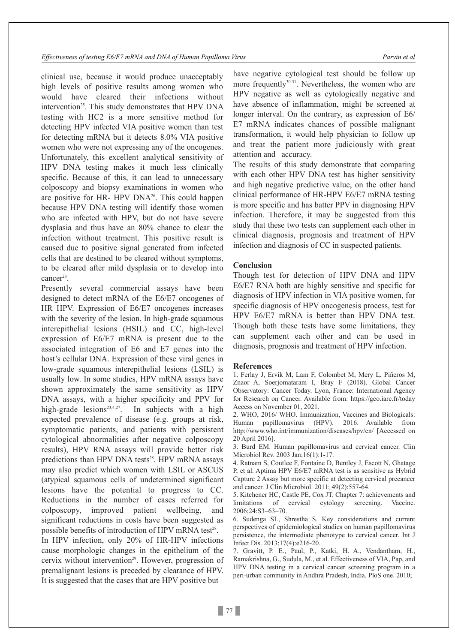clinical use, because it would produce unacceptably high levels of positive results among women who would have cleared their infections without intervention<sup>25</sup>. This study demonstrates that HPV DNA testing with HC2 is a more sensitive method for detecting HPV infected VIA positive women than test for detecting mRNA but it detects 8.0% VIA positive women who were not expressing any of the oncogenes. Unfortunately, this excellent analytical sensitivity of HPV DNA testing makes it much less clinically specific. Because of this, it can lead to unnecessary colposcopy and biopsy examinations in women who are positive for HR- HPV DNA<sup>26</sup>. This could happen because HPV DNA testing will identify those women who are infected with HPV, but do not have severe dysplasia and thus have an 80% chance to clear the infection without treatment. This positive result is caused due to positive signal generated from infected cells that are destined to be cleared without symptoms, to be cleared after mild dysplasia or to develop into cancer 23.

Presently several commercial assays have been designed to detect mRNA of the E6/E7 oncogenes of HR HPV. Expression of E6/E7 oncogenes increases with the severity of the lesion. In high-grade squamous interepithelial lesions (HSIL) and CC, high-level expression of E6/E7 mRNA is present due to the associated integration of E6 and E7 genes into the host's cellular DNA. Expression of these viral genes in low-grade squamous interepithelial lesions (LSIL) is usually low. In some studies, HPV mRNA assays have shown approximately the same sensitivity as HPV DNA assays, with a higher specificity and PPV for high-grade lesions<sup>23,4,27</sup>. In subjects with a high expected prevalence of disease (e.g. groups at risk, symptomatic patients, and patients with persistent cytological abnormalities after negative colposcopy results), HPV RNA assays will provide better risk predictions than HPV DNA tests<sup>28</sup>. HPV mRNA assays may also predict which women with LSIL or ASCUS (atypical squamous cells of undetermined significant lesions have the potential to progress to CC. Reductions in the number of cases referred for colposcopy, improved patient wellbeing, and significant reductions in costs have been suggested as possible benefits of introduction of HPV mRNA test<sup>28</sup>.

In HPV infection, only 20% of HR-HPV infections cause morphologic changes in the epithelium of the cervix without intervention<sup>29</sup>. However, progression of premalignant lesions is preceded by clearance of HPV. It is suggested that the cases that are HPV positive but

have negative cytological test should be follow up more frequently<sup>30-31</sup>. Nevertheless, the women who are HPV negative as well as cytologically negative and have absence of inflammation, might be screened at longer interval. On the contrary, as expression of E6/ E7 mRNA indicates chances of possible malignant transformation, it would help physician to follow up and treat the patient more judiciously with great attention and accuracy.

The results of this study demonstrate that comparing with each other HPV DNA test has higher sensitivity and high negative predictive value, on the other hand clinical performance of HR-HPV E6/E7 mRNA testing is more specific and has batter PPV in diagnosing HPV infection. Therefore, it may be suggested from this study that these two tests can supplement each other in clinical diagnosis, prognosis and treatment of HPV infection and diagnosis of CC in suspected patients.

# **Conclusion**

Though test for detection of HPV DNA and HPV E6/E7 RNA both are highly sensitive and specific for diagnosis of HPV infection in VIA positive women, for specific diagnosis of HPV oncogenesis process, test for HPV E6/E7 mRNA is better than HPV DNA test. Though both these tests have some limitations, they can supplement each other and can be used in diagnosis, prognosis and treatment of HPV infection.

#### **References**

1. Ferlay J, Ervik M, Lam F, Colombet M, Mery L, Piñeros M, Znaor A, Soerjomataram I, Bray F (2018). Global Cancer Observatory: Cancer Today. Lyon, France: International Agency for Research on Cancer. Available from: https://gco.iarc.fr/today Access on November 01, 2021.

2. WHO, 2016/ WHO. Immunization, Vaccines and Biologicals: Human papillomavirus (HPV). 2016. Available from http://www.who.int/immunization/diseases/hpv/en/ [Accessed on 20 April 2016].

3. Burd EM. Human papillomavirus and cervical cancer. Clin Microbiol Rev. 2003 Jan;16(1):1-17.

4. Ratnam S, Coutlee F, Fontaine D, Bentley J, Escott N, Ghatage P, et al. Aptima HPV E6/E7 mRNA test is as sensitive as Hybrid Capture 2 Assay but more specific at detecting cervical precancer and cancer. J Clin Microbiol. 2011; 49(2):557-64.

5. Kitchener HC, Castle PE, Cox JT. Chapter 7: achievements and limitations of cervical cytology screening. Vaccine. 2006;24:S3–63–70.

6. Sudenga SL, Shrestha S. Key considerations and current perspectives of epidemiological studies on human papillomavirus persistence, the intermediate phenotype to cervical cancer. Int J Infect Dis. 2013;17(4):e216-20.

7. Gravitt, P. E., Paul, P., Katki, H. A., Vendantham, H., Ramakrishna, G., Sudula, M., et al. Effectiveness of VIA, Pap, and HPV DNA testing in a cervical cancer screening program in a peri-urban community in Andhra Pradesh, India. PloS one. 2010;